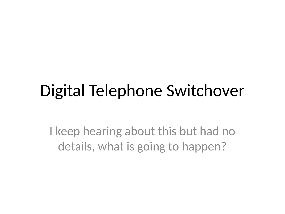#### Digital Telephone Switchover

I keep hearing about this but had no details, what is going to happen?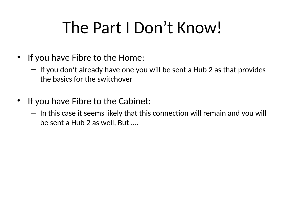### The Part I Don't Know!

- If you have Fibre to the Home:
	- If you don't already have one you will be sent a Hub 2 as that provides the basics for the switchover
- If you have Fibre to the Cabinet:
	- In this case it seems likely that this connection will remain and you will be sent a Hub 2 as well, But ....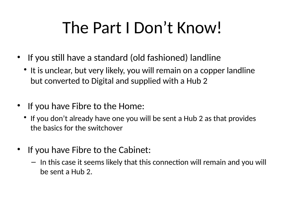# The Part I Don't Know!

- If you still have a standard (old fashioned) landline
	- It is unclear, but very likely, you will remain on a copper landline but converted to Digital and supplied with a Hub 2
- If you have Fibre to the Home:
	- If you don't already have one you will be sent a Hub 2 as that provides the basics for the switchover
- If you have Fibre to the Cabinet:
	- In this case it seems likely that this connection will remain and you will be sent a Hub 2.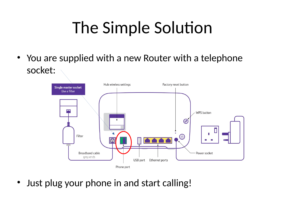# The Simple Solution

• You are supplied with a new Router with a telephone socket:



• Just plug your phone in and start calling!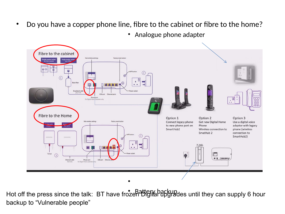- Do you have a copper phone line, fibre to the cabinet or fibre to the home?
	- Analogue phone adapter



Hot off the press since the talk: BT have frozen Digital upgrades until they can supply 6 hour backup to "Vulnerable people"